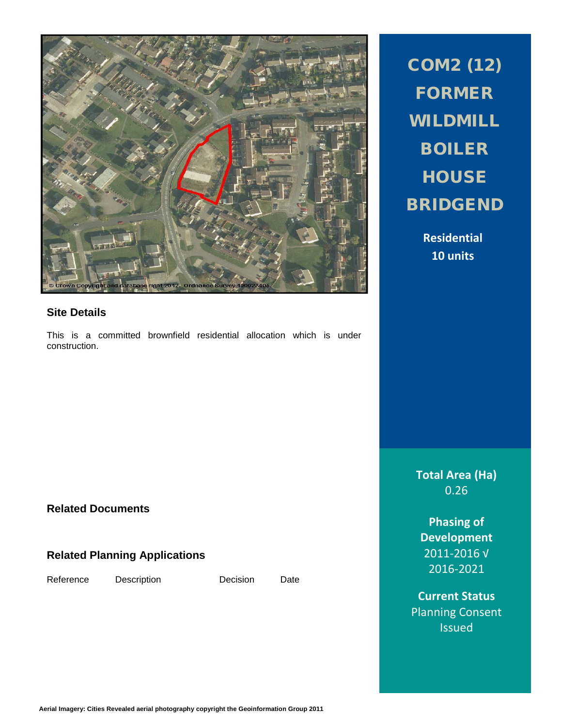

### **Site Details**

This is a committed brownfield residential allocation which is under construction.

COM2 (12) FORMER WILDMILL BOILER **HOUSE** BRIDGEND

> **Residential 10 units**

**Total Area (Ha)** 0.26

**Phasing of Development** 2011-2016 √ 2016-2021

**Current Status** Planning Consent Issued

## **Related Documents**

# **Related Planning Applications**

Reference Description Decision Date